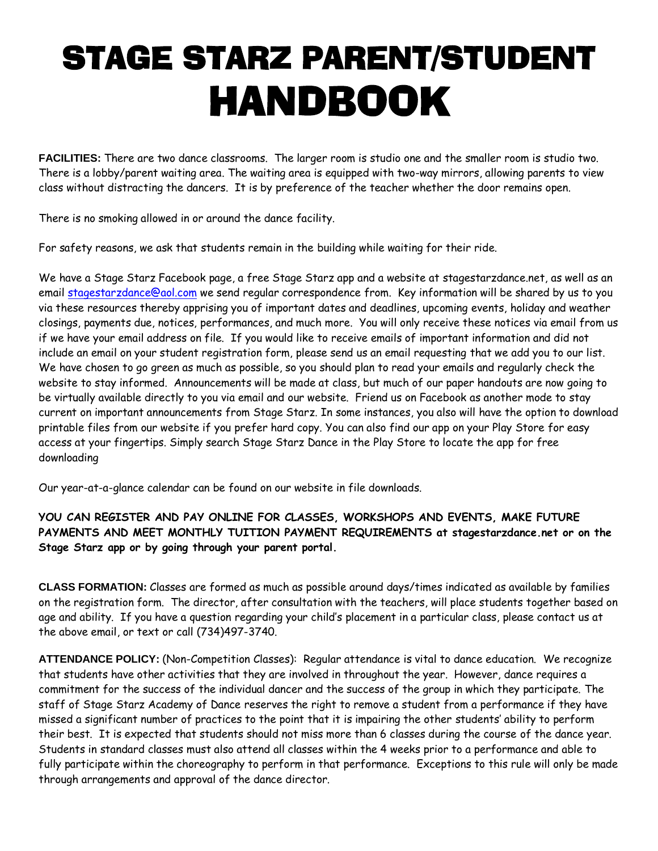# STAGE STARZ PARENT/STUDENT HANDBOOK

**FACILITIES:** There are two dance classrooms. The larger room is studio one and the smaller room is studio two. There is a lobby/parent waiting area. The waiting area is equipped with two-way mirrors, allowing parents to view class without distracting the dancers. It is by preference of the teacher whether the door remains open.

There is no smoking allowed in or around the dance facility.

For safety reasons, we ask that students remain in the building while waiting for their ride.

We have a Stage Starz Facebook page, a free Stage Starz app and a website at stagestarzdance.net, as well as an email [stagestarzdance@aol.com](mailto:stagestarzdance@aol.com) we send regular correspondence from. Key information will be shared by us to you via these resources thereby apprising you of important dates and deadlines, upcoming events, holiday and weather closings, payments due, notices, performances, and much more. You will only receive these notices via email from us if we have your email address on file. If you would like to receive emails of important information and did not include an email on your student registration form, please send us an email requesting that we add you to our list. We have chosen to go green as much as possible, so you should plan to read your emails and regularly check the website to stay informed. Announcements will be made at class, but much of our paper handouts are now going to be virtually available directly to you via email and our website. Friend us on Facebook as another mode to stay current on important announcements from Stage Starz. In some instances, you also will have the option to download printable files from our website if you prefer hard copy. You can also find our app on your Play Store for easy access at your fingertips. Simply search Stage Starz Dance in the Play Store to locate the app for free downloading

Our year-at-a-glance calendar can be found on our website in file downloads.

# **YOU CAN REGISTER AND PAY ONLINE FOR CLASSES, WORKSHOPS AND EVENTS, MAKE FUTURE PAYMENTS AND MEET MONTHLY TUITION PAYMENT REQUIREMENTS at stagestarzdance.net or on the Stage Starz app or by going through your parent portal.**

**CLASS FORMATION:** Classes are formed as much as possible around days/times indicated as available by families on the registration form. The director, after consultation with the teachers, will place students together based on age and ability. If you have a question regarding your child's placement in a particular class, please contact us at the above email, or text or call (734)497-3740.

**ATTENDANCE POLICY:** (Non-Competition Classes): Regular attendance is vital to dance education. We recognize that students have other activities that they are involved in throughout the year. However, dance requires a commitment for the success of the individual dancer and the success of the group in which they participate. The staff of Stage Starz Academy of Dance reserves the right to remove a student from a performance if they have missed a significant number of practices to the point that it is impairing the other students' ability to perform their best. It is expected that students should not miss more than 6 classes during the course of the dance year. Students in standard classes must also attend all classes within the 4 weeks prior to a performance and able to fully participate within the choreography to perform in that performance. Exceptions to this rule will only be made through arrangements and approval of the dance director.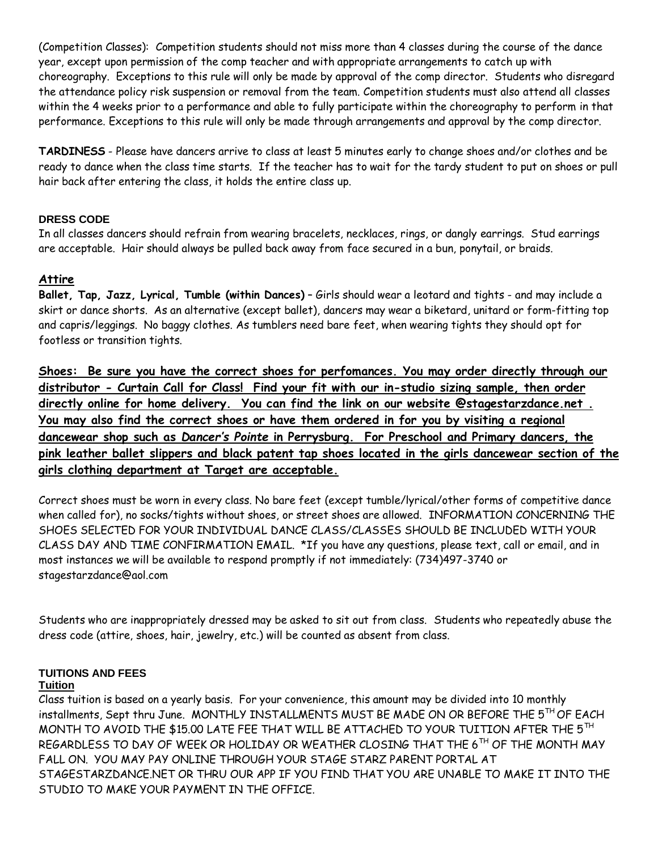(Competition Classes): Competition students should not miss more than 4 classes during the course of the dance year, except upon permission of the comp teacher and with appropriate arrangements to catch up with choreography. Exceptions to this rule will only be made by approval of the comp director. Students who disregard the attendance policy risk suspension or removal from the team. Competition students must also attend all classes within the 4 weeks prior to a performance and able to fully participate within the choreography to perform in that performance. Exceptions to this rule will only be made through arrangements and approval by the comp director.

**TARDINESS** - Please have dancers arrive to class at least 5 minutes early to change shoes and/or clothes and be ready to dance when the class time starts. If the teacher has to wait for the tardy student to put on shoes or pull hair back after entering the class, it holds the entire class up.

# **DRESS CODE**

In all classes dancers should refrain from wearing bracelets, necklaces, rings, or dangly earrings. Stud earrings are acceptable. Hair should always be pulled back away from face secured in a bun, ponytail, or braids.

# **Attire**

**Ballet, Tap, Jazz, Lyrical, Tumble (within Dances)** – Girls should wear a leotard and tights - and may include a skirt or dance shorts. As an alternative (except ballet), dancers may wear a biketard, unitard or form-fitting top and capris/leggings. No baggy clothes. As tumblers need bare feet, when wearing tights they should opt for footless or transition tights.

**Shoes: Be sure you have the correct shoes for perfomances. You may order directly through our distributor - Curtain Call for Class! Find your fit with our in-studio sizing sample, then order directly online for home delivery. You can find the link on our website @stagestarzdance.net . You may also find the correct shoes or have them ordered in for you by visiting a regional dancewear shop such as** *Dancer's Pointe* **in Perrysburg. For Preschool and Primary dancers, the pink leather ballet slippers and black patent tap shoes located in the girls dancewear section of the girls clothing department at Target are acceptable.**

Correct shoes must be worn in every class. No bare feet (except tumble/lyrical/other forms of competitive dance when called for), no socks/tights without shoes, or street shoes are allowed. INFORMATION CONCERNING THE SHOES SELECTED FOR YOUR INDIVIDUAL DANCE CLASS/CLASSES SHOULD BE INCLUDED WITH YOUR CLASS DAY AND TIME CONFIRMATION EMAIL. \*If you have any questions, please text, call or email, and in most instances we will be available to respond promptly if not immediately: (734)497-3740 or stagestarzdance@aol.com

Students who are inappropriately dressed may be asked to sit out from class. Students who repeatedly abuse the dress code (attire, shoes, hair, jewelry, etc.) will be counted as absent from class.

#### **TUITIONS AND FEES Tuition**

Class tuition is based on a yearly basis. For your convenience, this amount may be divided into 10 monthly installments, Sept thru June. MONTHLY INSTALLMENTS MUST BE MADE ON OR BEFORE THE 5TH OF EACH MONTH TO AVOID THE \$15.00 LATE FEE THAT WILL BE ATTACHED TO YOUR TUITION AFTER THE 5TH REGARDLESS TO DAY OF WEEK OR HOLIDAY OR WEATHER CLOSING THAT THE 6<sup>TH</sup> OF THE MONTH MAY FALL ON. YOU MAY PAY ONLINE THROUGH YOUR STAGE STARZ PARENT PORTAL AT STAGESTARZDANCE.NET OR THRU OUR APP IF YOU FIND THAT YOU ARE UNABLE TO MAKE IT INTO THE STUDIO TO MAKE YOUR PAYMENT IN THE OFFICE.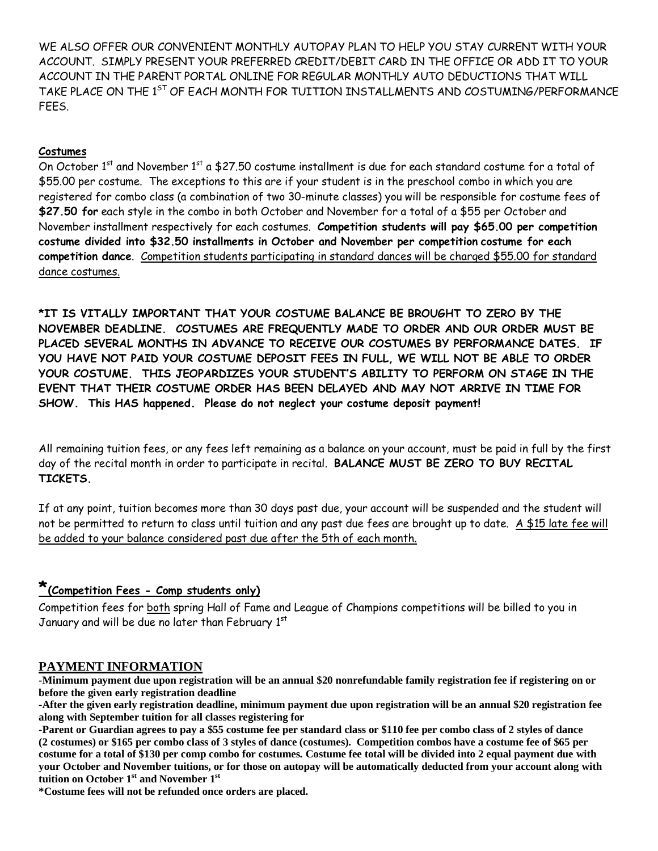WE ALSO OFFER OUR CONVENIENT MONTHLY AUTOPAY PLAN TO HELP YOU STAY CURRENT WITH YOUR ACCOUNT. SIMPLY PRESENT YOUR PREFERRED CREDIT/DEBIT CARD IN THE OFFICE OR ADD IT TO YOUR ACCOUNT IN THE PARENT PORTAL ONLINE FOR REGULAR MONTHLY AUTO DEDUCTIONS THAT WILL TAKE PLACE ON THE 1<sup>ST</sup> OF EACH MONTH FOR TUITION INSTALLMENTS AND COSTUMING/PERFORMANCE FEES.

# **Costumes**

On October 1<sup>st</sup> and November 1<sup>st</sup> a \$27.50 costume installment is due for each standard costume for a total of \$55.00 per costume. The exceptions to this are if your student is in the preschool combo in which you are registered for combo class (a combination of two 30-minute classes) you will be responsible for costume fees of **\$27.50 for** each style in the combo in both October and November for a total of a \$55 per October and November installment respectively for each costumes. **Competition students will pay \$65.00 per competition costume divided into \$32.50 installments in October and November per competition costume for each competition dance**. Competition students participating in standard dances will be charged \$55.00 for standard dance costumes.

**\*IT IS VITALLY IMPORTANT THAT YOUR COSTUME BALANCE BE BROUGHT TO ZERO BY THE NOVEMBER DEADLINE. COSTUMES ARE FREQUENTLY MADE TO ORDER AND OUR ORDER MUST BE PLACED SEVERAL MONTHS IN ADVANCE TO RECEIVE OUR COSTUMES BY PERFORMANCE DATES. IF YOU HAVE NOT PAID YOUR COSTUME DEPOSIT FEES IN FULL, WE WILL NOT BE ABLE TO ORDER YOUR COSTUME. THIS JEOPARDIZES YOUR STUDENT'S ABILITY TO PERFORM ON STAGE IN THE EVENT THAT THEIR COSTUME ORDER HAS BEEN DELAYED AND MAY NOT ARRIVE IN TIME FOR SHOW. This HAS happened. Please do not neglect your costume deposit payment!**

All remaining tuition fees, or any fees left remaining as a balance on your account, must be paid in full by the first day of the recital month in order to participate in recital. **BALANCE MUST BE ZERO TO BUY RECITAL TICKETS.**

If at any point, tuition becomes more than 30 days past due, your account will be suspended and the student will not be permitted to return to class until tuition and any past due fees are brought up to date. A \$15 late fee will be added to your balance considered past due after the 5th of each month.

# **\*(Competition Fees - Comp students only)**

Competition fees for both spring Hall of Fame and League of Champions competitions will be billed to you in January and will be due no later than February 1st

# **PAYMENT INFORMATION**

**-Minimum payment due upon registration will be an annual \$20 nonrefundable family registration fee if registering on or before the given early registration deadline**

**-After the given early registration deadline, minimum payment due upon registration will be an annual \$20 registration fee along with September tuition for all classes registering for**

**-Parent or Guardian agrees to pay a \$55 costume fee per standard class or \$110 fee per combo class of 2 styles of dance (2 costumes) or \$165 per combo class of 3 styles of dance (costumes). Competition combos have a costume fee of \$65 per costume for a total of \$130 per comp combo for costumes. Costume fee total will be divided into 2 equal payment due with your October and November tuitions, or for those on autopay will be automatically deducted from your account along with tuition on October 1st and November 1st**

**\*Costume fees will not be refunded once orders are placed.**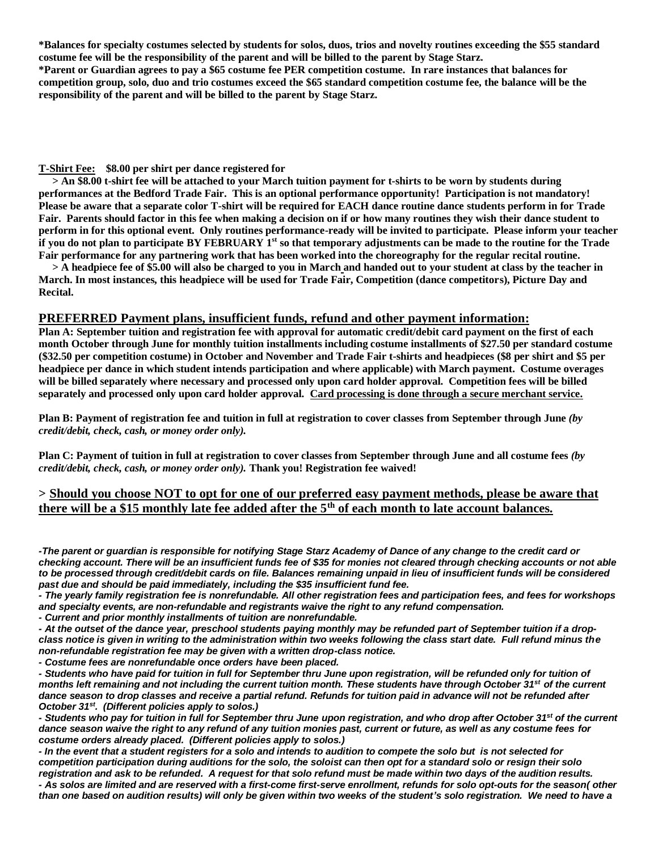**\*Balances for specialty costumes selected by students for solos, duos, trios and novelty routines exceeding the \$55 standard costume fee will be the responsibility of the parent and will be billed to the parent by Stage Starz. \*Parent or Guardian agrees to pay a \$65 costume fee PER competition costume. In rare instances that balances for competition group, solo, duo and trio costumes exceed the \$65 standard competition costume fee, the balance will be the responsibility of the parent and will be billed to the parent by Stage Starz.**

#### **T-Shirt Fee: \$8.00 per shirt per dance registered for**

 **> An \$8.00 t-shirt fee will be attached to your March tuition payment for t-shirts to be worn by students during performances at the Bedford Trade Fair. This is an optional performance opportunity! Participation is not mandatory! Please be aware that a separate color T-shirt will be required for EACH dance routine dance students perform in for Trade Fair. Parents should factor in this fee when making a decision on if or how many routines they wish their dance student to perform in for this optional event. Only routines performance-ready will be invited to participate. Please inform your teacher if you do not plan to participate BY FEBRUARY 1st so that temporary adjustments can be made to the routine for the Trade Fair performance for any partnering work that has been worked into the choreography for the regular recital routine.**

 **> A headpiece fee of \$5.00 will also be charged to you in March and handed out to your student at class by the teacher in March. In most instances, this headpiece will be used for Trade Fair, Competition (dance competitors), Picture Day and Recital.** 

## **PREFERRED Payment plans, insufficient funds, refund and other payment information:**

**Plan A: September tuition and registration fee with approval for automatic credit/debit card payment on the first of each month October through June for monthly tuition installments including costume installments of \$27.50 per standard costume (\$32.50 per competition costume) in October and November and Trade Fair t-shirts and headpieces (\$8 per shirt and \$5 per headpiece per dance in which student intends participation and where applicable) with March payment. Costume overages will be billed separately where necessary and processed only upon card holder approval. Competition fees will be billed separately and processed only upon card holder approval. Card processing is done through a secure merchant service.**

**Plan B: Payment of registration fee and tuition in full at registration to cover classes from September through June** *(by credit/debit, check, cash, or money order only).*

**Plan C: Payment of tuition in full at registration to cover classes from September through June and all costume fees** *(by credit/debit, check, cash, or money order only).* **Thank you! Registration fee waived!**

## **> Should you choose NOT to opt for one of our preferred easy payment methods, please be aware that there will be a \$15 monthly late fee added after the 5th of each month to late account balances.**

*-The parent or guardian is responsible for notifying Stage Starz Academy of Dance of any change to the credit card or checking account. There will be an insufficient funds fee of \$35 for monies not cleared through checking accounts or not able to be processed through credit/debit cards on file. Balances remaining unpaid in lieu of insufficient funds will be considered past due and should be paid immediately, including the \$35 insufficient fund fee.*

*- The yearly family registration fee is nonrefundable. All other registration fees and participation fees, and fees for workshops and specialty events, are non-refundable and registrants waive the right to any refund compensation.*

*- Current and prior monthly installments of tuition are nonrefundable.*

*- At the outset of the dance year, preschool students paying monthly may be refunded part of September tuition if a dropclass notice is given in writing to the administration within two weeks following the class start date. Full refund minus the non-refundable registration fee may be given with a written drop-class notice.*

*- Costume fees are nonrefundable once orders have been placed.*

*- Students who have paid for tuition in full for September thru June upon registration, will be refunded only for tuition of months left remaining and not including the current tuition month. These students have through October 31st of the current dance season to drop classes and receive a partial refund. Refunds for tuition paid in advance will not be refunded after October 31st . (Different policies apply to solos.)*

*- Students who pay for tuition in full for September thru June upon registration, and who drop after October 31st of the current dance season waive the right to any refund of any tuition monies past, current or future, as well as any costume fees for costume orders already placed. (Different policies apply to solos.)*

*- In the event that a student registers for a solo and intends to audition to compete the solo but is not selected for competition participation during auditions for the solo, the soloist can then opt for a standard solo or resign their solo registration and ask to be refunded. A request for that solo refund must be made within two days of the audition results.*

*- As solos are limited and are reserved with a first-come first-serve enrollment, refunds for solo opt-outs for the season( other than one based on audition results) will only be given within two weeks of the student's solo registration. We need to have a*